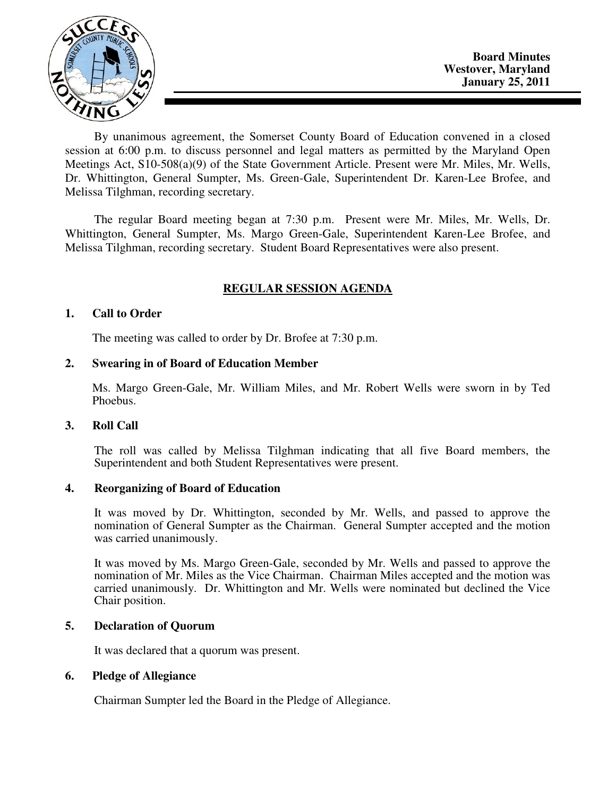

By unanimous agreement, the Somerset County Board of Education convened in a closed session at 6:00 p.m. to discuss personnel and legal matters as permitted by the Maryland Open Meetings Act, S10-508(a)(9) of the State Government Article. Present were Mr. Miles, Mr. Wells, Dr. Whittington, General Sumpter, Ms. Green-Gale, Superintendent Dr. Karen-Lee Brofee, and Melissa Tilghman, recording secretary.

The regular Board meeting began at 7:30 p.m. Present were Mr. Miles, Mr. Wells, Dr. Whittington, General Sumpter, Ms. Margo Green-Gale, Superintendent Karen-Lee Brofee, and Melissa Tilghman, recording secretary. Student Board Representatives were also present.

# **REGULAR SESSION AGENDA**

## **1. Call to Order**

The meeting was called to order by Dr. Brofee at 7:30 p.m.

## **2. Swearing in of Board of Education Member**

Ms. Margo Green-Gale, Mr. William Miles, and Mr. Robert Wells were sworn in by Ted Phoebus.

## **3. Roll Call**

The roll was called by Melissa Tilghman indicating that all five Board members, the Superintendent and both Student Representatives were present.

## **4. Reorganizing of Board of Education**

It was moved by Dr. Whittington, seconded by Mr. Wells, and passed to approve the nomination of General Sumpter as the Chairman. General Sumpter accepted and the motion was carried unanimously.

It was moved by Ms. Margo Green-Gale, seconded by Mr. Wells and passed to approve the nomination of Mr. Miles as the Vice Chairman. Chairman Miles accepted and the motion was carried unanimously. Dr. Whittington and Mr. Wells were nominated but declined the Vice Chair position.

# **5. Declaration of Quorum**

It was declared that a quorum was present.

# **6. Pledge of Allegiance**

Chairman Sumpter led the Board in the Pledge of Allegiance.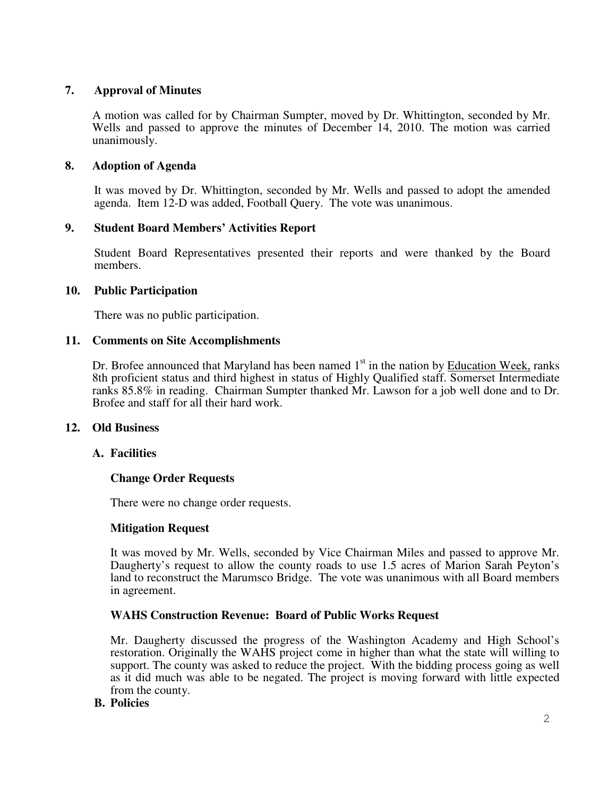## **7. Approval of Minutes**

A motion was called for by Chairman Sumpter, moved by Dr. Whittington, seconded by Mr. Wells and passed to approve the minutes of December 14, 2010. The motion was carried unanimously.

## **8. Adoption of Agenda**

 It was moved by Dr. Whittington, seconded by Mr. Wells and passed to adopt the amended agenda. Item 12-D was added, Football Query. The vote was unanimous.

## **9. Student Board Members' Activities Report**

Student Board Representatives presented their reports and were thanked by the Board members.

## **10. Public Participation**

There was no public participation.

#### **11. Comments on Site Accomplishments**

Dr. Brofee announced that Maryland has been named  $1<sup>st</sup>$  in the nation by Education Week, ranks 8th proficient status and third highest in status of Highly Qualified staff. Somerset Intermediate ranks 85.8% in reading. Chairman Sumpter thanked Mr. Lawson for a job well done and to Dr. Brofee and staff for all their hard work.

## **12. Old Business**

## **A. Facilities**

## **Change Order Requests**

There were no change order requests.

## **Mitigation Request**

It was moved by Mr. Wells, seconded by Vice Chairman Miles and passed to approve Mr. Daugherty's request to allow the county roads to use 1.5 acres of Marion Sarah Peyton's land to reconstruct the Marumsco Bridge. The vote was unanimous with all Board members in agreement.

## **WAHS Construction Revenue: Board of Public Works Request**

Mr. Daugherty discussed the progress of the Washington Academy and High School's restoration. Originally the WAHS project come in higher than what the state will willing to support. The county was asked to reduce the project. With the bidding process going as well as it did much was able to be negated. The project is moving forward with little expected from the county.

#### **B. Policies**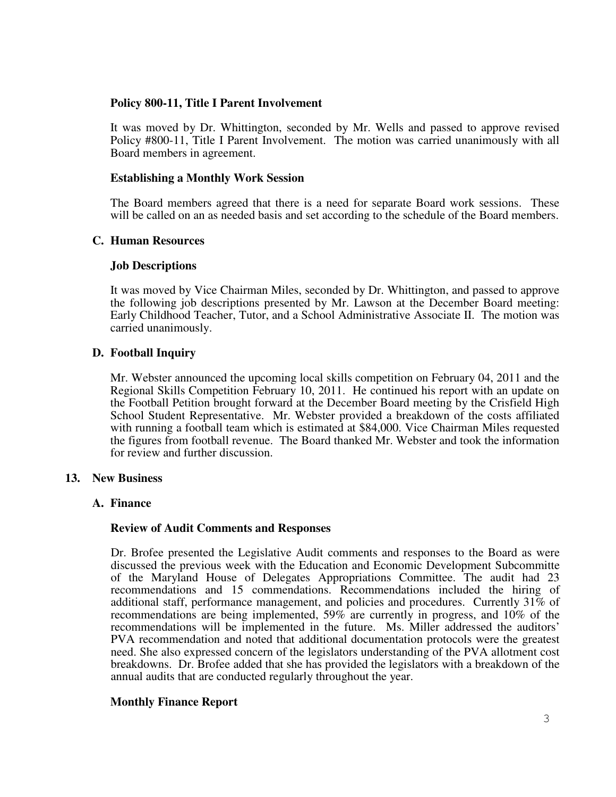### **Policy 800-11, Title I Parent Involvement**

It was moved by Dr. Whittington, seconded by Mr. Wells and passed to approve revised Policy #800-11, Title I Parent Involvement. The motion was carried unanimously with all Board members in agreement.

#### **Establishing a Monthly Work Session**

The Board members agreed that there is a need for separate Board work sessions. These will be called on an as needed basis and set according to the schedule of the Board members.

#### **C. Human Resources**

#### **Job Descriptions**

It was moved by Vice Chairman Miles, seconded by Dr. Whittington, and passed to approve the following job descriptions presented by Mr. Lawson at the December Board meeting: Early Childhood Teacher, Tutor, and a School Administrative Associate II. The motion was carried unanimously.

## **D. Football Inquiry**

Mr. Webster announced the upcoming local skills competition on February 04, 2011 and the Regional Skills Competition February 10, 2011. He continued his report with an update on the Football Petition brought forward at the December Board meeting by the Crisfield High School Student Representative. Mr. Webster provided a breakdown of the costs affiliated with running a football team which is estimated at \$84,000. Vice Chairman Miles requested the figures from football revenue. The Board thanked Mr. Webster and took the information for review and further discussion.

#### **13. New Business**

## **A. Finance**

## **Review of Audit Comments and Responses**

Dr. Brofee presented the Legislative Audit comments and responses to the Board as were discussed the previous week with the Education and Economic Development Subcommitte of the Maryland House of Delegates Appropriations Committee. The audit had 23 recommendations and 15 commendations. Recommendations included the hiring of additional staff, performance management, and policies and procedures. Currently  $31\%$  of recommendations are being implemented, 59% are currently in progress, and 10% of the recommendations will be implemented in the future. Ms. Miller addressed the auditors' PVA recommendation and noted that additional documentation protocols were the greatest need. She also expressed concern of the legislators understanding of the PVA allotment cost breakdowns. Dr. Brofee added that she has provided the legislators with a breakdown of the annual audits that are conducted regularly throughout the year.

## **Monthly Finance Report**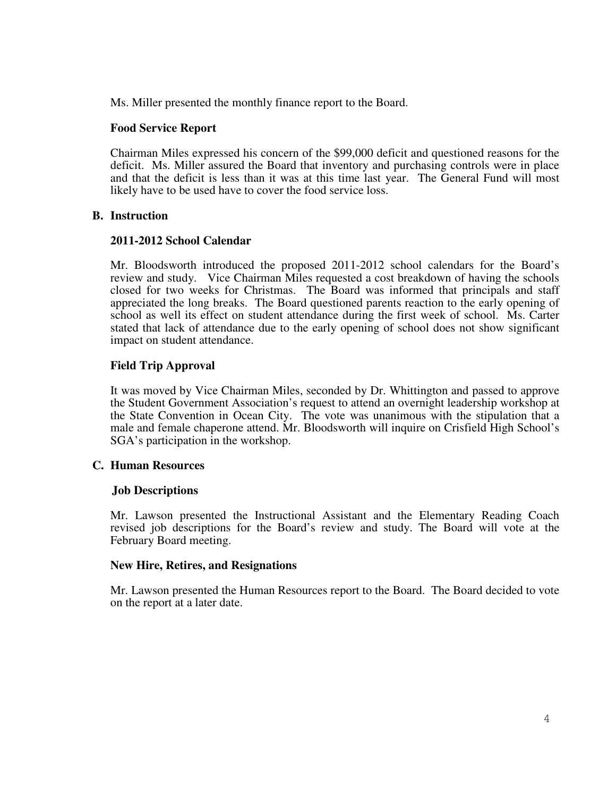Ms. Miller presented the monthly finance report to the Board.

#### **Food Service Report**

Chairman Miles expressed his concern of the \$99,000 deficit and questioned reasons for the deficit. Ms. Miller assured the Board that inventory and purchasing controls were in place and that the deficit is less than it was at this time last year. The General Fund will most likely have to be used have to cover the food service loss.

#### **B. Instruction**

#### **2011-2012 School Calendar**

Mr. Bloodsworth introduced the proposed 2011-2012 school calendars for the Board's review and study. Vice Chairman Miles requested a cost breakdown of having the schools closed for two weeks for Christmas. The Board was informed that principals and staff appreciated the long breaks. The Board questioned parents reaction to the early opening of school as well its effect on student attendance during the first week of school. Ms. Carter stated that lack of attendance due to the early opening of school does not show significant impact on student attendance.

## **Field Trip Approval**

It was moved by Vice Chairman Miles, seconded by Dr. Whittington and passed to approve the Student Government Association's request to attend an overnight leadership workshop at the State Convention in Ocean City. The vote was unanimous with the stipulation that a male and female chaperone attend. Mr. Bloodsworth will inquire on Crisfield High School's SGA's participation in the workshop.

## **C. Human Resources**

#### **Job Descriptions**

Mr. Lawson presented the Instructional Assistant and the Elementary Reading Coach revised job descriptions for the Board's review and study. The Board will vote at the February Board meeting.

#### **New Hire, Retires, and Resignations**

Mr. Lawson presented the Human Resources report to the Board. The Board decided to vote on the report at a later date.